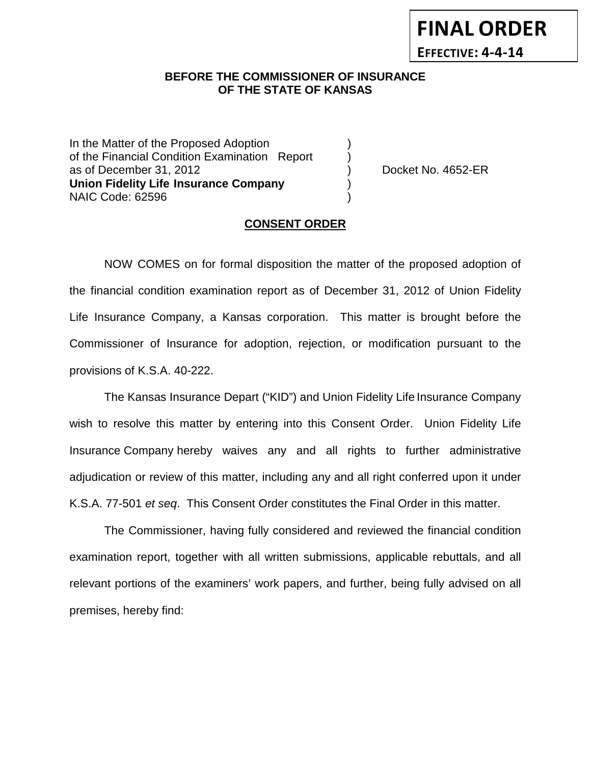# **BEFORE THE COMMISSIONER OF INSURANCE OF THE STATE OF KANSAS**

In the Matter of the Proposed Adoption of the Financial Condition Examination Report as of December 31, 2012 (and the control of Docket No. 4652-ER **Union Fidelity Life Insurance Company** ) NAIC Code: 62596 )

**FINAL ORDER**

**EFFECTIVE: 4-4-14**

### **CONSENT ORDER**

NOW COMES on for formal disposition the matter of the proposed adoption of the financial condition examination report as of December 31, 2012 of Union Fidelity Life Insurance Company, a Kansas corporation. This matter is brought before the Commissioner of Insurance for adoption, rejection, or modification pursuant to the provisions of K.S.A. 40-222.

The Kansas Insurance Depart ("KID") and Union Fidelity Life Insurance Company wish to resolve this matter by entering into this Consent Order. Union Fidelity Life Insurance Company hereby waives any and all rights to further administrative adjudication or review of this matter, including any and all right conferred upon it under K.S.A. 77-501 *et seq*. This Consent Order constitutes the Final Order in this matter.

The Commissioner, having fully considered and reviewed the financial condition examination report, together with all written submissions, applicable rebuttals, and all relevant portions of the examiners' work papers, and further, being fully advised on all premises, hereby find: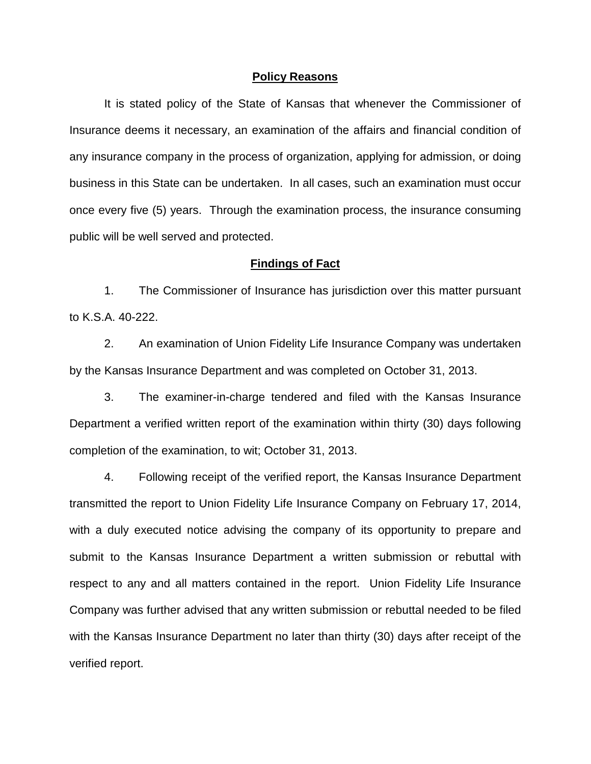### **Policy Reasons**

It is stated policy of the State of Kansas that whenever the Commissioner of Insurance deems it necessary, an examination of the affairs and financial condition of any insurance company in the process of organization, applying for admission, or doing business in this State can be undertaken. In all cases, such an examination must occur once every five (5) years. Through the examination process, the insurance consuming public will be well served and protected.

### **Findings of Fact**

1. The Commissioner of Insurance has jurisdiction over this matter pursuant to K.S.A. 40-222.

2. An examination of Union Fidelity Life Insurance Company was undertaken by the Kansas Insurance Department and was completed on October 31, 2013.

3. The examiner-in-charge tendered and filed with the Kansas Insurance Department a verified written report of the examination within thirty (30) days following completion of the examination, to wit; October 31, 2013.

4. Following receipt of the verified report, the Kansas Insurance Department transmitted the report to Union Fidelity Life Insurance Company on February 17, 2014, with a duly executed notice advising the company of its opportunity to prepare and submit to the Kansas Insurance Department a written submission or rebuttal with respect to any and all matters contained in the report. Union Fidelity Life Insurance Company was further advised that any written submission or rebuttal needed to be filed with the Kansas Insurance Department no later than thirty (30) days after receipt of the verified report.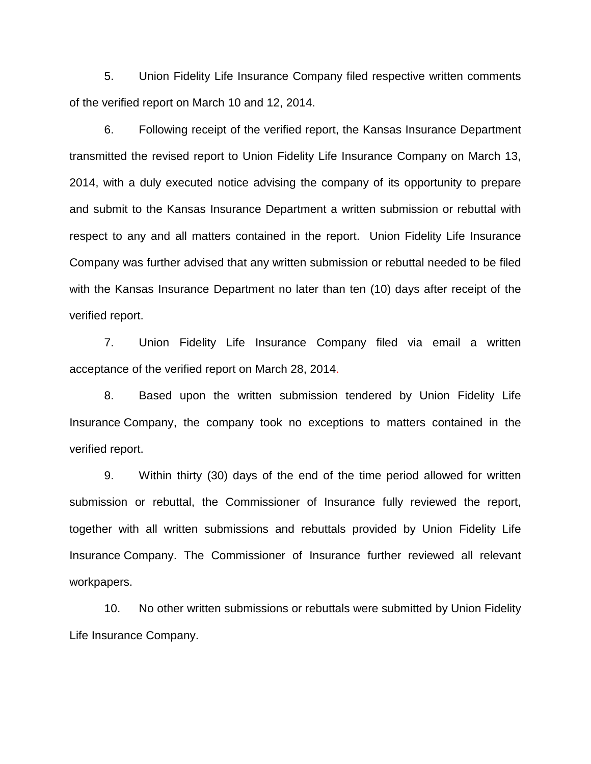5. Union Fidelity Life Insurance Company filed respective written comments of the verified report on March 10 and 12, 2014.

6. Following receipt of the verified report, the Kansas Insurance Department transmitted the revised report to Union Fidelity Life Insurance Company on March 13, 2014, with a duly executed notice advising the company of its opportunity to prepare and submit to the Kansas Insurance Department a written submission or rebuttal with respect to any and all matters contained in the report. Union Fidelity Life Insurance Company was further advised that any written submission or rebuttal needed to be filed with the Kansas Insurance Department no later than ten (10) days after receipt of the verified report.

7. Union Fidelity Life Insurance Company filed via email a written acceptance of the verified report on March 28, 2014.

8. Based upon the written submission tendered by Union Fidelity Life Insurance Company, the company took no exceptions to matters contained in the verified report.

9. Within thirty (30) days of the end of the time period allowed for written submission or rebuttal, the Commissioner of Insurance fully reviewed the report, together with all written submissions and rebuttals provided by Union Fidelity Life Insurance Company. The Commissioner of Insurance further reviewed all relevant workpapers.

10. No other written submissions or rebuttals were submitted by Union Fidelity Life Insurance Company.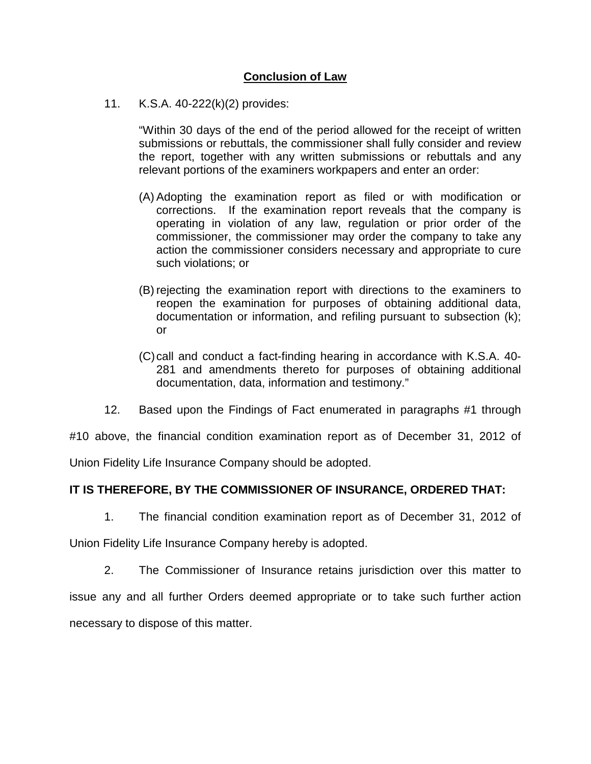# **Conclusion of Law**

11. K.S.A. 40-222(k)(2) provides:

"Within 30 days of the end of the period allowed for the receipt of written submissions or rebuttals, the commissioner shall fully consider and review the report, together with any written submissions or rebuttals and any relevant portions of the examiners workpapers and enter an order:

- (A) Adopting the examination report as filed or with modification or corrections. If the examination report reveals that the company is operating in violation of any law, regulation or prior order of the commissioner, the commissioner may order the company to take any action the commissioner considers necessary and appropriate to cure such violations; or
- (B) rejecting the examination report with directions to the examiners to reopen the examination for purposes of obtaining additional data, documentation or information, and refiling pursuant to subsection (k); or
- (C)call and conduct a fact-finding hearing in accordance with K.S.A. 40- 281 and amendments thereto for purposes of obtaining additional documentation, data, information and testimony."
- 12. Based upon the Findings of Fact enumerated in paragraphs #1 through

#10 above, the financial condition examination report as of December 31, 2012 of

Union Fidelity Life Insurance Company should be adopted.

## **IT IS THEREFORE, BY THE COMMISSIONER OF INSURANCE, ORDERED THAT:**

1. The financial condition examination report as of December 31, 2012 of

Union Fidelity Life Insurance Company hereby is adopted.

2. The Commissioner of Insurance retains jurisdiction over this matter to issue any and all further Orders deemed appropriate or to take such further action necessary to dispose of this matter.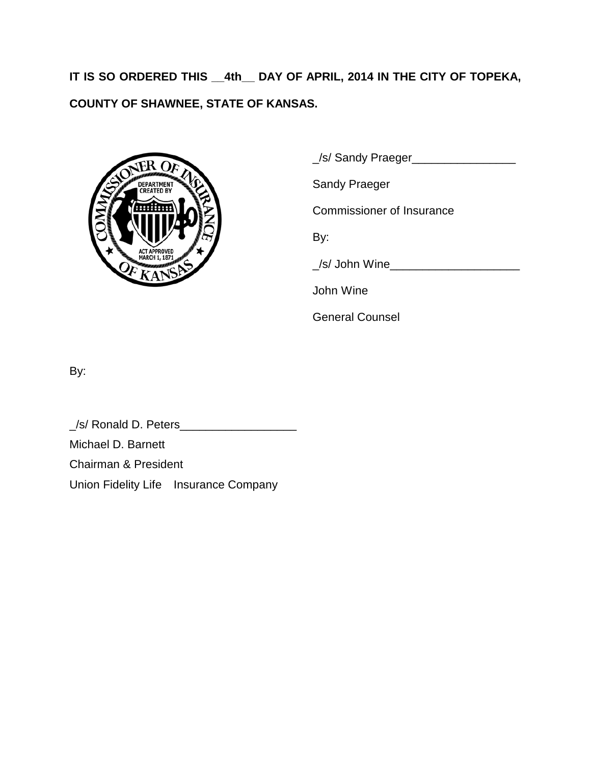**IT IS SO ORDERED THIS \_\_4th\_\_ DAY OF APRIL, 2014 IN THE CITY OF TOPEKA, COUNTY OF SHAWNEE, STATE OF KANSAS.**



|  | S/ Sandy Praeger |  |  |
|--|------------------|--|--|
|  |                  |  |  |

Sandy Praeger

Commissioner of Insurance

By:

\_/s/ John Wine\_\_\_\_\_\_\_\_\_\_\_\_\_\_\_\_\_\_\_\_

John Wine

General Counsel

By:

\_/s/ Ronald D. Peters\_\_\_\_\_\_\_\_\_\_\_\_\_\_\_\_\_\_ Michael D. Barnett Chairman & President Union Fidelity Life Insurance Company